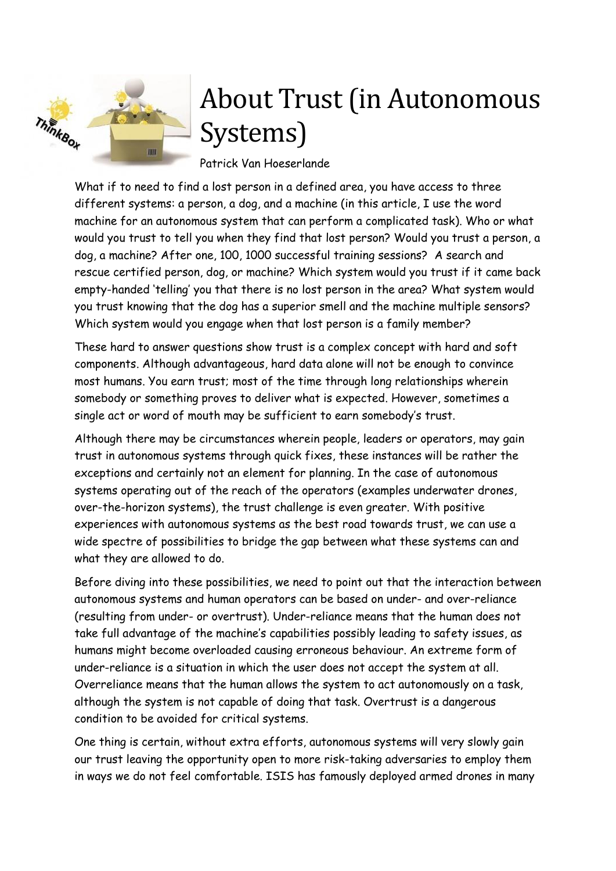

# About Trust (in Autonomous Systems)

Patrick Van Hoeserlande

What if to need to find a lost person in a defined area, you have access to three different systems: a person, a dog, and a machine (in this article, I use the word machine for an autonomous system that can perform a complicated task). Who or what would you trust to tell you when they find that lost person? Would you trust a person, a dog, a machine? After one, 100, 1000 successful training sessions? A search and rescue certified person, dog, or machine? Which system would you trust if it came back empty-handed 'telling' you that there is no lost person in the area? What system would you trust knowing that the dog has a superior smell and the machine multiple sensors? Which system would you engage when that lost person is a family member?

These hard to answer questions show trust is a complex concept with hard and soft components. Although advantageous, hard data alone will not be enough to convince most humans. You earn trust; most of the time through long relationships wherein somebody or something proves to deliver what is expected. However, sometimes a single act or word of mouth may be sufficient to earn somebody's trust.

Although there may be circumstances wherein people, leaders or operators, may gain trust in autonomous systems through quick fixes, these instances will be rather the exceptions and certainly not an element for planning. In the case of autonomous systems operating out of the reach of the operators (examples underwater drones, over-the-horizon systems), the trust challenge is even greater. With positive experiences with autonomous systems as the best road towards trust, we can use a wide spectre of possibilities to bridge the gap between what these systems can and what they are allowed to do.

Before diving into these possibilities, we need to point out that the interaction between autonomous systems and human operators can be based on under- and over-reliance (resulting from under- or overtrust). Under-reliance means that the human does not take full advantage of the machine's capabilities possibly leading to safety issues, as humans might become overloaded causing erroneous behaviour. An extreme form of under-reliance is a situation in which the user does not accept the system at all. Overreliance means that the human allows the system to act autonomously on a task, although the system is not capable of doing that task. Overtrust is a dangerous condition to be avoided for critical systems.

One thing is certain, without extra efforts, autonomous systems will very slowly gain our trust leaving the opportunity open to more risk-taking adversaries to employ them in ways we do not feel comfortable. ISIS has famously deployed armed drones in many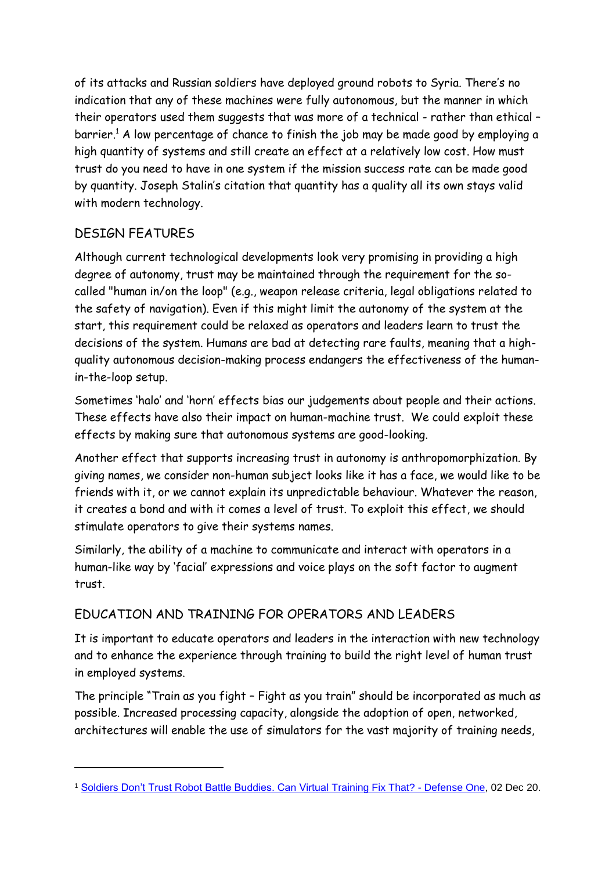of its attacks and Russian soldiers have deployed ground robots to Syria. There's no indication that any of these machines were fully autonomous, but the manner in which their operators used them suggests that was more of a technical - rather than ethical – barrier. <sup>1</sup> A low percentage of chance to finish the job may be made good by employing a high quantity of systems and still create an effect at a relatively low cost. How must trust do you need to have in one system if the mission success rate can be made good by quantity. Joseph Stalin's citation that quantity has a quality all its own stays valid with modern technology.

# DESIGN FEATURES

-

Although current technological developments look very promising in providing a high degree of autonomy, trust may be maintained through the requirement for the socalled "human in/on the loop" (e.g., weapon release criteria, legal obligations related to the safety of navigation). Even if this might limit the autonomy of the system at the start, this requirement could be relaxed as operators and leaders learn to trust the decisions of the system. Humans are bad at detecting rare faults, meaning that a highquality autonomous decision-making process endangers the effectiveness of the humanin-the-loop setup.

Sometimes 'halo' and 'horn' effects bias our judgements about people and their actions. These effects have also their impact on human-machine trust. We could exploit these effects by making sure that autonomous systems are good-looking.

Another effect that supports increasing trust in autonomy is anthropomorphization. By giving names, we consider non-human subject looks like it has a face, we would like to be friends with it, or we cannot explain its unpredictable behaviour. Whatever the reason, it creates a bond and with it comes a level of trust. To exploit this effect, we should stimulate operators to give their systems names.

Similarly, the ability of a machine to communicate and interact with operators in a human-like way by 'facial' expressions and voice plays on the soft factor to augment trust.

# EDUCATION AND TRAINING FOR OPERATORS AND LEADERS

It is important to educate operators and leaders in the interaction with new technology and to enhance the experience through training to build the right level of human trust in employed systems.

The principle "Train as you fight – Fight as you train" should be incorporated as much as possible. Increased processing capacity, alongside the adoption of open, networked, architectures will enable the use of simulators for the vast majority of training needs,

<sup>1</sup> [Soldiers Don't Trust Robot Battle Buddies. Can Virtual](https://www.defenseone.com/technology/2020/11/soldiers-dont-trust-robot-battle-buddies-can-virtual-training-fix/170378/) Training Fix That? - Defense One, 02 Dec 20.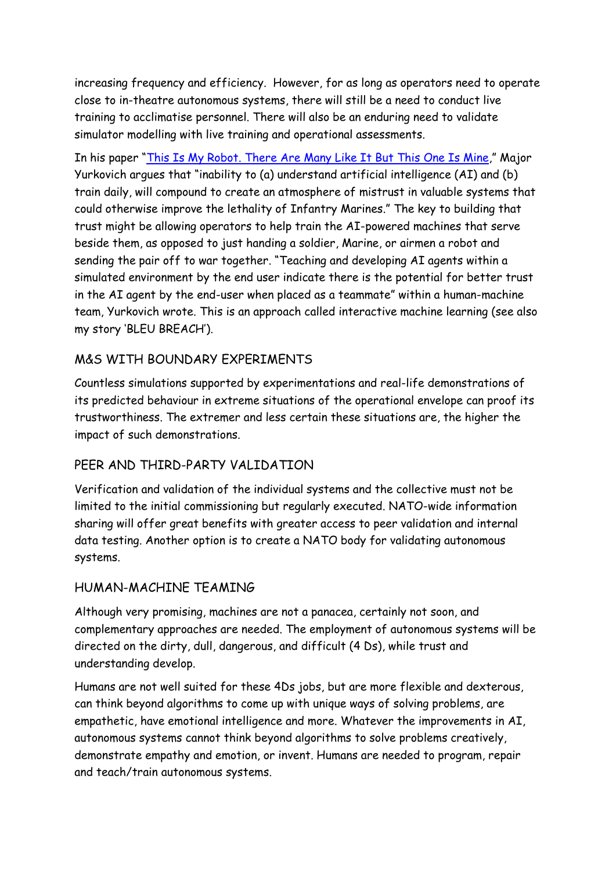increasing frequency and efficiency. However, for as long as operators need to operate close to in-theatre autonomous systems, there will still be a need to conduct live training to acclimatise personnel. There will also be an enduring need to validate simulator modelling with live training and operational assessments.

In his paper "[This Is My Robot. There Are Many Like It But This One Is Mine](https://calhoun.nps.edu/bitstream/handle/10945/65478/20Jun_Yurkovich_Daniel.pdf?sequence=1&isAllowed=y)," Major Yurkovich argues that "inability to (a) understand artificial intelligence (AI) and (b) train daily, will compound to create an atmosphere of mistrust in valuable systems that could otherwise improve the lethality of Infantry Marines." The key to building that trust might be allowing operators to help train the AI-powered machines that serve beside them, as opposed to just handing a soldier, Marine, or airmen a robot and sending the pair off to war together. "Teaching and developing AI agents within a simulated environment by the end user indicate there is the potential for better trust in the AI agent by the end-user when placed as a teammate" within a human-machine team, Yurkovich wrote. This is an approach called interactive machine learning (see also my story 'BLEU BREACH').

## M&S WITH BOUNDARY EXPERIMENTS

Countless simulations supported by experimentations and real-life demonstrations of its predicted behaviour in extreme situations of the operational envelope can proof its trustworthiness. The extremer and less certain these situations are, the higher the impact of such demonstrations.

#### PEER AND THIRD-PARTY VALIDATION

Verification and validation of the individual systems and the collective must not be limited to the initial commissioning but regularly executed. NATO-wide information sharing will offer great benefits with greater access to peer validation and internal data testing. Another option is to create a NATO body for validating autonomous systems.

#### HUMAN-MACHINE TEAMING

Although very promising, machines are not a panacea, certainly not soon, and complementary approaches are needed. The employment of autonomous systems will be directed on the dirty, dull, dangerous, and difficult (4 Ds), while trust and understanding develop.

Humans are not well suited for these 4Ds jobs, but are more flexible and dexterous, can think beyond algorithms to come up with unique ways of solving problems, are empathetic, have emotional intelligence and more. Whatever the improvements in AI, autonomous systems cannot think beyond algorithms to solve problems creatively, demonstrate empathy and emotion, or invent. Humans are needed to program, repair and teach/train autonomous systems.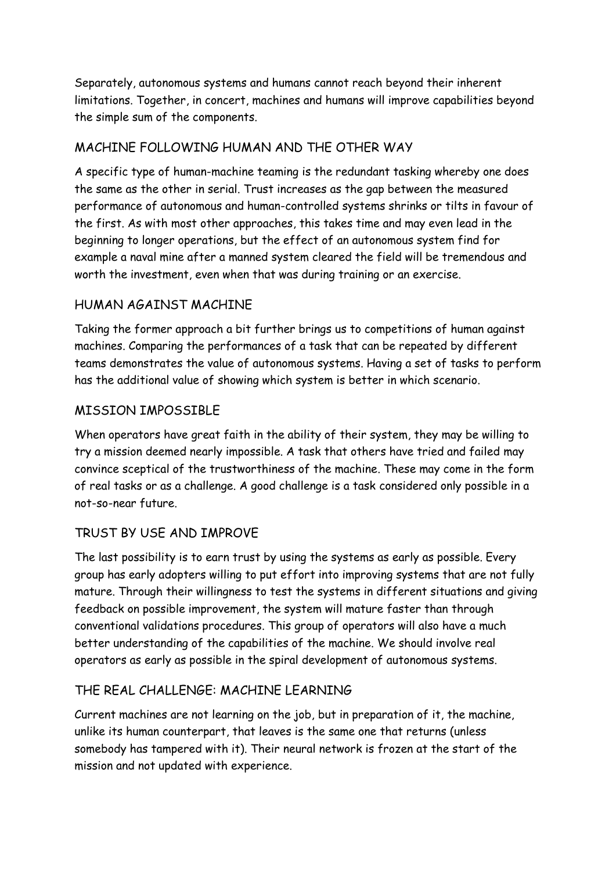Separately, autonomous systems and humans cannot reach beyond their inherent limitations. Together, in concert, machines and humans will improve capabilities beyond the simple sum of the components.

### MACHINE FOLLOWING HUMAN AND THE OTHER WAY

A specific type of human-machine teaming is the redundant tasking whereby one does the same as the other in serial. Trust increases as the gap between the measured performance of autonomous and human-controlled systems shrinks or tilts in favour of the first. As with most other approaches, this takes time and may even lead in the beginning to longer operations, but the effect of an autonomous system find for example a naval mine after a manned system cleared the field will be tremendous and worth the investment, even when that was during training or an exercise.

### HUMAN AGAINST MACHINE

Taking the former approach a bit further brings us to competitions of human against machines. Comparing the performances of a task that can be repeated by different teams demonstrates the value of autonomous systems. Having a set of tasks to perform has the additional value of showing which system is better in which scenario.

### MISSION IMPOSSIBLE

When operators have great faith in the ability of their system, they may be willing to try a mission deemed nearly impossible. A task that others have tried and failed may convince sceptical of the trustworthiness of the machine. These may come in the form of real tasks or as a challenge. A good challenge is a task considered only possible in a not-so-near future.

## TRUST BY USE AND IMPROVE

The last possibility is to earn trust by using the systems as early as possible. Every group has early adopters willing to put effort into improving systems that are not fully mature. Through their willingness to test the systems in different situations and giving feedback on possible improvement, the system will mature faster than through conventional validations procedures. This group of operators will also have a much better understanding of the capabilities of the machine. We should involve real operators as early as possible in the spiral development of autonomous systems.

#### THE REAL CHALLENGE: MACHINE LEARNING

Current machines are not learning on the job, but in preparation of it, the machine, unlike its human counterpart, that leaves is the same one that returns (unless somebody has tampered with it). Their neural network is frozen at the start of the mission and not updated with experience.